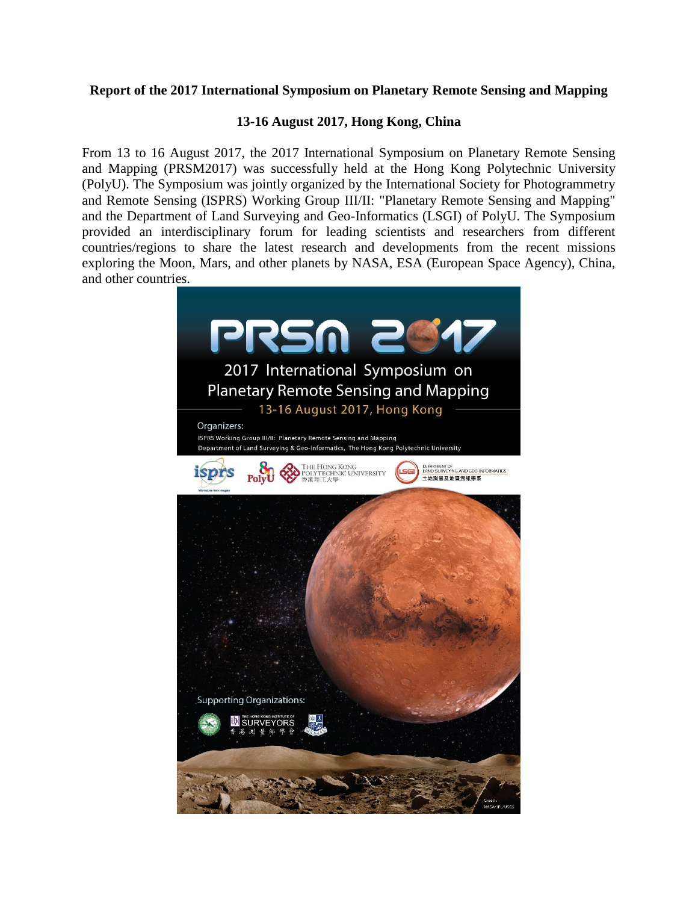## **Report of the 2017 International Symposium on Planetary Remote Sensing and Mapping**

## **13-16 August 2017, Hong Kong, China**

From 13 to 16 August 2017, the 2017 International Symposium on Planetary Remote Sensing and Mapping (PRSM2017) was successfully held at the Hong Kong Polytechnic University (PolyU). The Symposium was jointly organized by the International Society for Photogrammetry and Remote Sensing (ISPRS) Working Group III/II: "Planetary Remote Sensing and Mapping" and the Department of Land Surveying and Geo-Informatics (LSGI) of PolyU. The Symposium provided an interdisciplinary forum for leading scientists and researchers from different countries/regions to share the latest research and developments from the recent missions exploring the Moon, Mars, and other planets by NASA, ESA (European Space Agency), China, and other countries.

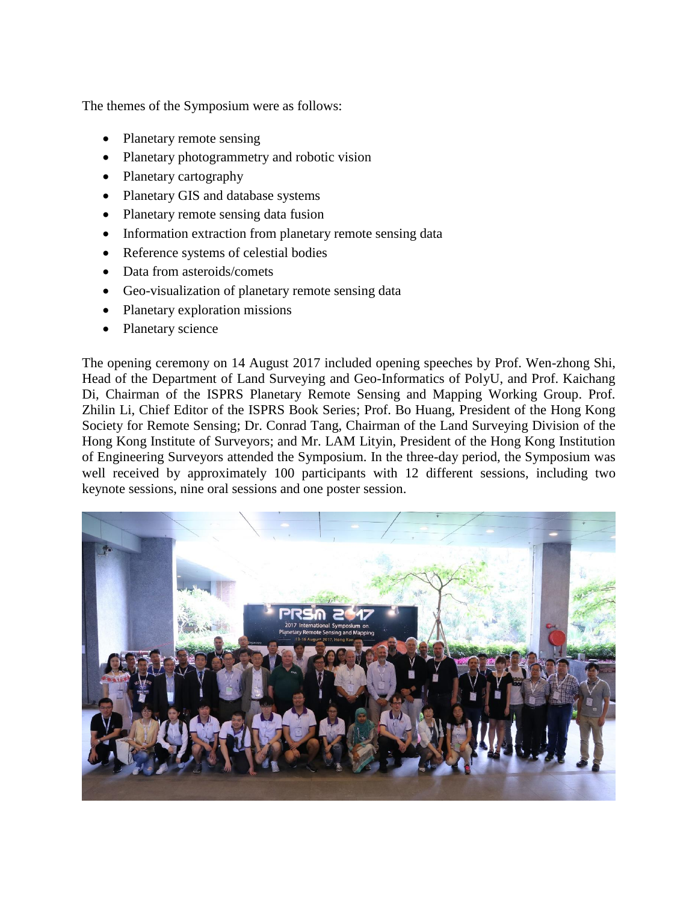The themes of the Symposium were as follows:

- Planetary remote sensing
- Planetary photogrammetry and robotic vision
- Planetary cartography
- Planetary GIS and database systems
- Planetary remote sensing data fusion
- Information extraction from planetary remote sensing data
- Reference systems of celestial bodies
- Data from asteroids/comets
- Geo-visualization of planetary remote sensing data
- Planetary exploration missions
- Planetary science

The opening ceremony on 14 August 2017 included opening speeches by Prof. Wen-zhong Shi, Head of the Department of Land Surveying and Geo-Informatics of PolyU, and Prof. Kaichang Di, Chairman of the ISPRS Planetary Remote Sensing and Mapping Working Group. Prof. Zhilin Li, Chief Editor of the ISPRS Book Series; Prof. Bo Huang, President of the Hong Kong Society for Remote Sensing; Dr. Conrad Tang, Chairman of the Land Surveying Division of the Hong Kong Institute of Surveyors; and Mr. LAM Lityin, President of the Hong Kong Institution of Engineering Surveyors attended the Symposium. In the three-day period, the Symposium was well received by approximately 100 participants with 12 different sessions, including two keynote sessions, nine oral sessions and one poster session.

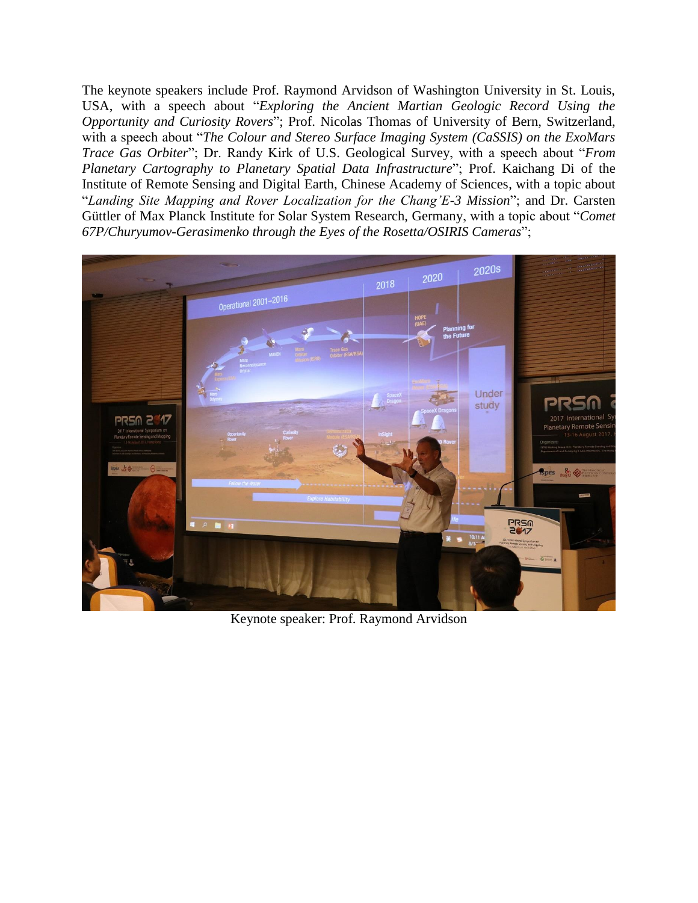The keynote speakers include Prof. Raymond Arvidson of Washington University in St. Louis, USA, with a speech about "*Exploring the Ancient Martian Geologic Record Using the Opportunity and Curiosity Rovers*"; Prof. Nicolas Thomas of University of Bern, Switzerland, with a speech about "*The Colour and Stereo Surface Imaging System (CaSSIS) on the ExoMars Trace Gas Orbiter*"; Dr. Randy Kirk of U.S. Geological Survey, with a speech about "*From Planetary Cartography to Planetary Spatial Data Infrastructure*"; Prof. Kaichang Di of the Institute of Remote Sensing and Digital Earth, Chinese Academy of Sciences, with a topic about "*Landing Site Mapping and Rover Localization for the Chang'E-3 Mission*"; and Dr. Carsten Güttler of Max Planck Institute for Solar System Research, Germany, with a topic about "*Comet 67P/Churyumov-Gerasimenko through the Eyes of the Rosetta/OSIRIS Cameras*";



Keynote speaker: Prof. Raymond Arvidson